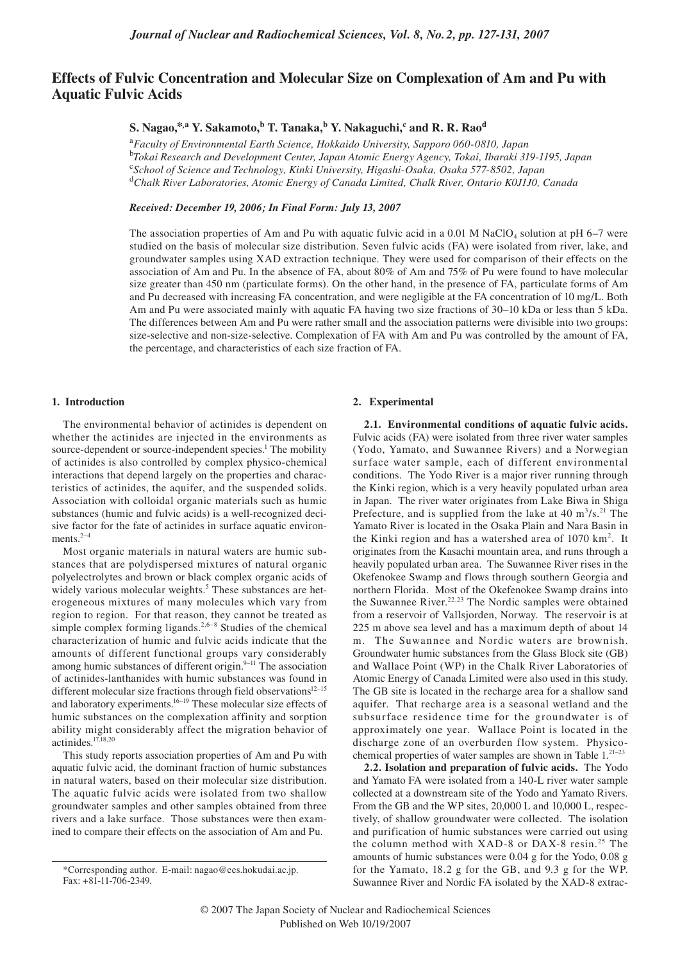# **Effects of Fulvic Concentration and Molecular Size on Complexation of Am and Pu with Aquatic Fulvic Acids**

# $\mathbf{S}.$  Nagao, $^{*,\mathrm{a}}$   $\mathbf{Y}.$  Sakamoto, $^{\mathrm{b}}$  T. Tanaka, $^{\mathrm{b}}$  Y. Nakaguchi, $^{\mathrm{c}}$  and **R. R. R**ao $^{\mathrm{d}}$

<sup>a</sup>*Faculty of Environmental Earth Science, Hokkaido University, Sapporo 060-0810, Japan* <sup>b</sup>*Tokai Research and Development Center, Japan Atomic Energy Agency, Tokai, Ibaraki 319-1195, Japan* <sup>c</sup>*School of Science and Technology, Kinki University, Higashi-Osaka, Osaka 577-8502, Japan* <sup>d</sup>*Chalk River Laboratories, Atomic Energy of Canada Limited, Chalk River, Ontario K0J1J0, Canada*

# *Received: December 19, 2006; In Final Form: July 13, 2007*

The association properties of Am and Pu with aquatic fulvic acid in a 0.01 M NaClO<sub>4</sub> solution at pH 6–7 were studied on the basis of molecular size distribution. Seven fulvic acids (FA) were isolated from river, lake, and groundwater samples using XAD extraction technique. They were used for comparison of their effects on the association of Am and Pu. In the absence of FA, about 80% of Am and 75% of Pu were found to have molecular size greater than 450 nm (particulate forms). On the other hand, in the presence of FA, particulate forms of Am and Pu decreased with increasing FA concentration, and were negligible at the FA concentration of 10 mg/L. Both Am and Pu were associated mainly with aquatic FA having two size fractions of 30–10 kDa or less than 5 kDa. The differences between Am and Pu were rather small and the association patterns were divisible into two groups: size-selective and non-size-selective. Complexation of FA with Am and Pu was controlled by the amount of FA, the percentage, and characteristics of each size fraction of FA.

#### **1. Introduction**

The environmental behavior of actinides is dependent on whether the actinides are injected in the environments as source-dependent or source-independent species.<sup>1</sup> The mobility of actinides is also controlled by complex physico-chemical interactions that depend largely on the properties and characteristics of actinides, the aquifer, and the suspended solids. Association with colloidal organic materials such as humic substances (humic and fulvic acids) is a well-recognized decisive factor for the fate of actinides in surface aquatic environments. $2-4$ 

Most organic materials in natural waters are humic substances that are polydispersed mixtures of natural organic polyelectrolytes and brown or black complex organic acids of widely various molecular weights.<sup>5</sup> These substances are heterogeneous mixtures of many molecules which vary from region to region. For that reason, they cannot be treated as simple complex forming ligands.<sup>2,6–8</sup> Studies of the chemical characterization of humic and fulvic acids indicate that the amounts of different functional groups vary considerably among humic substances of different origin.<sup>9–11</sup> The association of actinides-lanthanides with humic substances was found in different molecular size fractions through field observations $12-15$ and laboratory experiments.<sup>16–19</sup> These molecular size effects of humic substances on the complexation affinity and sorption ability might considerably affect the migration behavior of actinides.17,18,20

This study reports association properties of Am and Pu with aquatic fulvic acid, the dominant fraction of humic substances in natural waters, based on their molecular size distribution. The aquatic fulvic acids were isolated from two shallow groundwater samples and other samples obtained from three rivers and a lake surface. Those substances were then examined to compare their effects on the association of Am and Pu.

#### **2. Experimental**

**2.1. Environmental conditions of aquatic fulvic acids.**  Fulvic acids (FA) were isolated from three river water samples (Yodo, Yamato, and Suwannee Rivers) and a Norwegian surface water sample, each of different environmental conditions. The Yodo River is a major river running through the Kinki region, which is a very heavily populated urban area in Japan. The river water originates from Lake Biwa in Shiga Prefecture, and is supplied from the lake at  $40 \text{ m}^3/\text{s}$ .<sup>21</sup> The Yamato River is located in the Osaka Plain and Nara Basin in the Kinki region and has a watershed area of  $1070 \text{ km}^2$ . It originates from the Kasachi mountain area, and runs through a heavily populated urban area. The Suwannee River rises in the Okefenokee Swamp and flows through southern Georgia and northern Florida. Most of the Okefenokee Swamp drains into the Suwannee River.<sup>22,23</sup> The Nordic samples were obtained from a reservoir of Vallsjorden, Norway. The reservoir is at 225 m above sea level and has a maximum depth of about 14 m. The Suwannee and Nordic waters are brownish. Groundwater humic substances from the Glass Block site (GB) and Wallace Point (WP) in the Chalk River Laboratories of Atomic Energy of Canada Limited were also used in this study. The GB site is located in the recharge area for a shallow sand aquifer. That recharge area is a seasonal wetland and the subsurface residence time for the groundwater is of approximately one year. Wallace Point is located in the discharge zone of an overburden flow system. Physicochemical properties of water samples are shown in Table 1.<sup>21-23</sup>

**2.2. Isolation and preparation of fulvic acids.** The Yodo and Yamato FA were isolated from a 140-L river water sample collected at a downstream site of the Yodo and Yamato Rivers. From the GB and the WP sites, 20,000 L and 10,000 L, respectively, of shallow groundwater were collected. The isolation and purification of humic substances were carried out using the column method with XAD-8 or DAX-8 resin.<sup>25</sup> The amounts of humic substances were 0.04 g for the Yodo, 0.08 g for the Yamato, 18.2 g for the GB, and 9.3 g for the WP. Suwannee River and Nordic FA isolated by the XAD-8 extrac-

<sup>\*</sup>Corresponding author. E-mail: nagao@ees.hokudai.ac.jp. Fax: +81-11-706-2349.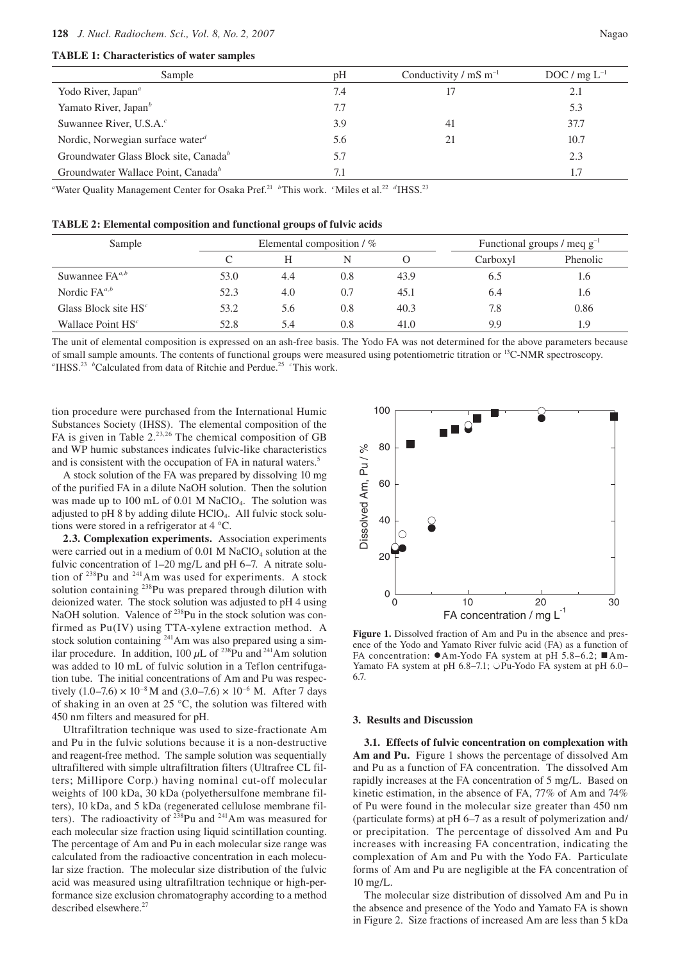#### **128** *J. Nucl. Radiochem. Sci., Vol. 8, No. 2, 2007* Nagao

### **TABLE 1: Characteristics of water samples**

| Sample                                            | pH  | Conductivity / $mS m^{-1}$ | DOC / $mg L^{-1}$ |
|---------------------------------------------------|-----|----------------------------|-------------------|
| Yodo River, Japan <sup>a</sup>                    | 7.4 |                            | 2.1               |
| Yamato River, Japan <sup>b</sup>                  | 7.7 |                            | 5.3               |
| Suwannee River, U.S.A. <sup>c</sup>               | 3.9 | 41                         | 37.7              |
| Nordic, Norwegian surface water $d$               | 5.6 | 21                         | 10.7              |
| Groundwater Glass Block site, Canada <sup>b</sup> | 5.7 |                            | 2.3               |
| Groundwater Wallace Point, Canada <sup>b</sup>    | 7.1 |                            | 1.7               |
|                                                   |     |                            |                   |

<sup>a</sup> Water Quality Management Center for Osaka Pref.<sup>21</sup> *b*This work. *c*Miles et al.<sup>22</sup> *d*IHSS.<sup>23</sup>

# **TABLE 2: Elemental composition and functional groups of fulvic acids**

| Sample                 |      | Elemental composition $/$ % |     |      |          | Functional groups / meq $g^{-1}$ |  |
|------------------------|------|-----------------------------|-----|------|----------|----------------------------------|--|
|                        |      |                             | N   |      | Carboxyl | Phenolic                         |  |
| Suwannee $FA^{a,b}$    | 53.0 | 4.4                         | 0.8 | 43.9 | 6.5      | 1.6                              |  |
| Nordic $FA^{a,b}$      | 52.3 | 4.0                         | 0.7 | 45.1 | 6.4      | 1.6                              |  |
| Glass Block site $HSc$ | 53.2 | 5.6                         | 0.8 | 40.3 | 7.8      | 0.86                             |  |
| Wallace Point $HSc$    | 52.8 | 5.4                         | 0.8 | 41.0 | 9.9      | 1.9                              |  |

The unit of elemental composition is expressed on an ash-free basis. The Yodo FA was not determined for the above parameters because of small sample amounts. The contents of functional groups were measured using potentiometric titration or 13C-NMR spectroscopy. <sup>a</sup> IHSS.<sup>23</sup> <sup>b</sup>Calculated from data of Ritchie and Perdue.<sup>25</sup> <sup>c</sup>This work.

tion procedure were purchased from the International Humic Substances Society (IHSS). The elemental composition of the FA is given in Table  $2^{23,26}$  The chemical composition of GB and WP humic substances indicates fulvic-like characteristics and is consistent with the occupation of FA in natural waters.<sup>5</sup>

A stock solution of the FA was prepared by dissolving 10 mg of the purified FA in a dilute NaOH solution. Then the solution was made up to  $100 \text{ mL of } 0.01 \text{ M NaClO}_4$ . The solution was adjusted to pH 8 by adding dilute HClO4. All fulvic stock solutions were stored in a refrigerator at 4 °C.

**2.3. Complexation experiments.** Association experiments were carried out in a medium of  $0.01$  M NaClO<sub>4</sub> solution at the fulvic concentration of 1–20 mg/L and pH 6–7. A nitrate solution of 238Pu and 241Am was used for experiments. A stock solution containing <sup>238</sup>Pu was prepared through dilution with deionized water. The stock solution was adjusted to pH 4 using NaOH solution. Valence of <sup>238</sup>Pu in the stock solution was confirmed as Pu(IV) using TTA-xylene extraction method. A stock solution containing 241Am was also prepared using a similar procedure. In addition, 100  $\mu$ L of <sup>238</sup>Pu and <sup>241</sup>Am solution was added to 10 mL of fulvic solution in a Teflon centrifugation tube. The initial concentrations of Am and Pu was respectively  $(1.0-7.6) \times 10^{-8}$  M and  $(3.0-7.6) \times 10^{-6}$  M. After 7 days of shaking in an oven at 25 °C, the solution was filtered with 450 nm filters and measured for pH.

Ultrafiltration technique was used to size-fractionate Am and Pu in the fulvic solutions because it is a non-destructive and reagent-free method. The sample solution was sequentially ultrafiltered with simple ultrafiltration filters (Ultrafree CL filters; Millipore Corp.) having nominal cut-off molecular weights of 100 kDa, 30 kDa (polyethersulfone membrane filters), 10 kDa, and 5 kDa (regenerated cellulose membrane filters). The radioactivity of  $238$ Pu and  $241$ Am was measured for each molecular size fraction using liquid scintillation counting. The percentage of Am and Pu in each molecular size range was calculated from the radioactive concentration in each molecular size fraction. The molecular size distribution of the fulvic acid was measured using ultrafiltration technique or high-performance size exclusion chromatography according to a method described elsewhere.<sup>27</sup>



**Figure 1.** Dissolved fraction of Am and Pu in the absence and presence of the Yodo and Yamato River fulvic acid (FA) as a function of FA concentration:  $\bullet$ Am-Yodo FA system at pH 5.8–6.2;  $\blacksquare$ Am-Yamato FA system at pH 6.8-7.1; OPu-Yodo FA system at pH 6.0– 6.7.

#### **3. Results and Discussion**

**3.1. Effects of fulvic concentration on complexation with Am and Pu.** Figure 1 shows the percentage of dissolved Am and Pu as a function of FA concentration. The dissolved Am rapidly increases at the FA concentration of 5 mg/L. Based on kinetic estimation, in the absence of FA, 77% of Am and 74% of Pu were found in the molecular size greater than 450 nm (particulate forms) at pH 6–7 as a result of polymerization and/ or precipitation. The percentage of dissolved Am and Pu increases with increasing FA concentration, indicating the complexation of Am and Pu with the Yodo FA. Particulate forms of Am and Pu are negligible at the FA concentration of 10 mg/L.

The molecular size distribution of dissolved Am and Pu in the absence and presence of the Yodo and Yamato FA is shown in Figure 2. Size fractions of increased Am are less than 5 kDa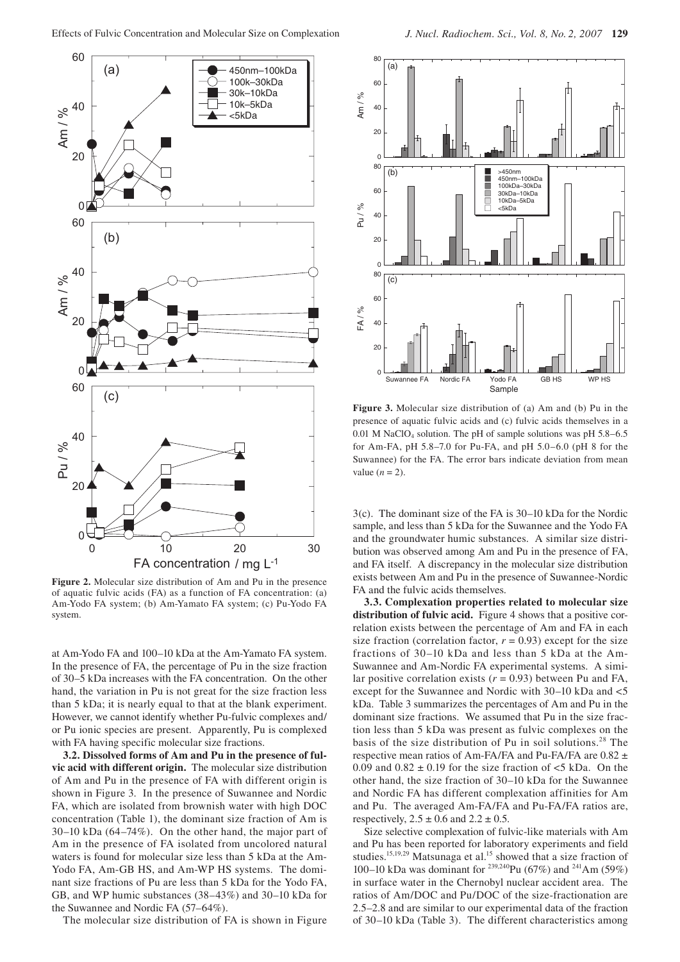

**Figure 2.** Molecular size distribution of Am and Pu in the presence of aquatic fulvic acids (FA) as a function of FA concentration: (a) Am-Yodo FA system; (b) Am-Yamato FA system; (c) Pu-Yodo FA system.

at Am-Yodo FA and 100–10 kDa at the Am-Yamato FA system. In the presence of FA, the percentage of Pu in the size fraction of 30–5 kDa increases with the FA concentration. On the other hand, the variation in Pu is not great for the size fraction less than 5 kDa; it is nearly equal to that at the blank experiment. However, we cannot identify whether Pu-fulvic complexes and/ or Pu ionic species are present. Apparently, Pu is complexed with FA having specific molecular size fractions.

**3.2. Dissolved forms of Am and Pu in the presence of fulvic acid with different origin.** The molecular size distribution of Am and Pu in the presence of FA with different origin is shown in Figure 3. In the presence of Suwannee and Nordic FA, which are isolated from brownish water with high DOC concentration (Table 1), the dominant size fraction of Am is 30–10 kDa (64–74%). On the other hand, the major part of Am in the presence of FA isolated from uncolored natural waters is found for molecular size less than 5 kDa at the Am-Yodo FA, Am-GB HS, and Am-WP HS systems. The dominant size fractions of Pu are less than 5 kDa for the Yodo FA, GB, and WP humic substances (38–43%) and 30–10 kDa for the Suwannee and Nordic FA (57–64%).

The molecular size distribution of FA is shown in Figure



**Figure 3.** Molecular size distribution of (a) Am and (b) Pu in the presence of aquatic fulvic acids and (c) fulvic acids themselves in a 0.01 M NaClO<sub>4</sub> solution. The pH of sample solutions was pH  $5.8-6.5$ for Am-FA, pH 5.8–7.0 for Pu-FA, and pH 5.0–6.0 (pH 8 for the Suwannee) for the FA. The error bars indicate deviation from mean value  $(n = 2)$ .

3(c). The dominant size of the FA is 30–10 kDa for the Nordic sample, and less than 5 kDa for the Suwannee and the Yodo FA and the groundwater humic substances. A similar size distribution was observed among Am and Pu in the presence of FA, and FA itself. A discrepancy in the molecular size distribution exists between Am and Pu in the presence of Suwannee-Nordic FA and the fulvic acids themselves.

**3.3. Complexation properties related to molecular size distribution of fulvic acid.** Figure 4 shows that a positive correlation exists between the percentage of Am and FA in each size fraction (correlation factor,  $r = 0.93$ ) except for the size fractions of 30–10 kDa and less than 5 kDa at the Am-Suwannee and Am-Nordic FA experimental systems. A similar positive correlation exists  $(r = 0.93)$  between Pu and FA, except for the Suwannee and Nordic with 30–10 kDa and <5 kDa. Table 3 summarizes the percentages of Am and Pu in the dominant size fractions. We assumed that Pu in the size fraction less than 5 kDa was present as fulvic complexes on the basis of the size distribution of Pu in soil solutions.<sup>28</sup> The respective mean ratios of Am-FA/FA and Pu-FA/FA are 0.82 ± 0.09 and  $0.82 \pm 0.19$  for the size fraction of  $\lt 5$  kDa. On the other hand, the size fraction of 30–10 kDa for the Suwannee and Nordic FA has different complexation affinities for Am and Pu. The averaged Am-FA/FA and Pu-FA/FA ratios are, respectively,  $2.5 \pm 0.6$  and  $2.2 \pm 0.5$ .

Size selective complexation of fulvic-like materials with Am and Pu has been reported for laboratory experiments and field studies.<sup>15,19,29</sup> Matsunaga et al.<sup>15</sup> showed that a size fraction of 100–10 kDa was dominant for <sup>239,240</sup>Pu (67%) and <sup>241</sup>Am (59%) in surface water in the Chernobyl nuclear accident area. The ratios of Am/DOC and Pu/DOC of the size-fractionation are 2.5–2.8 and are similar to our experimental data of the fraction of 30–10 kDa (Table 3). The different characteristics among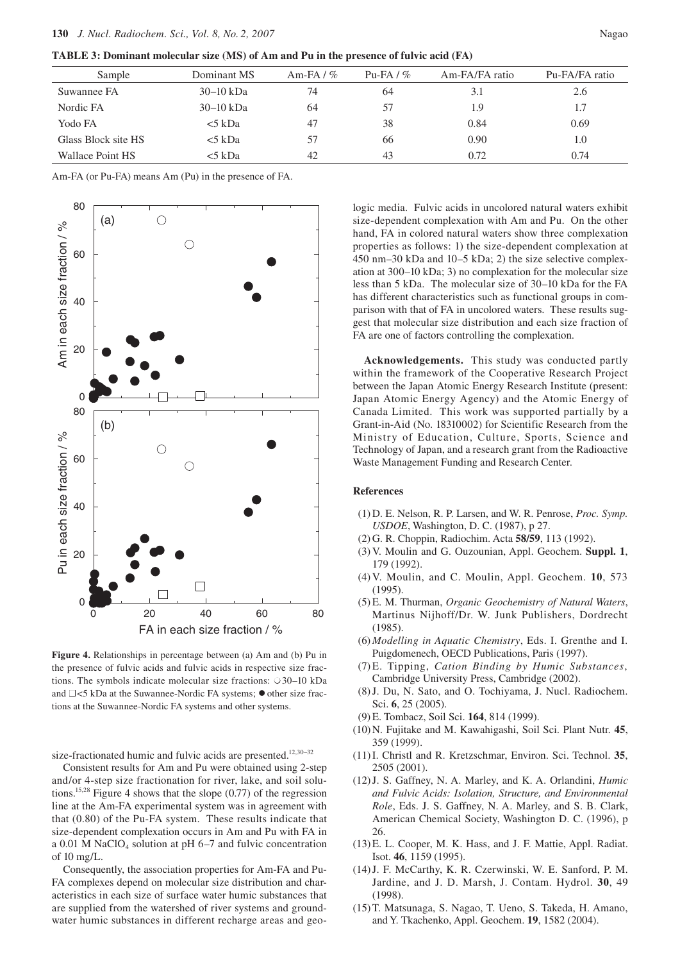**TABLE 3: Dominant molecular size (MS) of Am and Pu in the presence of fulvic acid (FA)**

| Sample              | Dominant MS | Am-FA $/$ % | Pu-FA $/$ % | Am-FA/FA ratio | Pu-FA/FA ratio |
|---------------------|-------------|-------------|-------------|----------------|----------------|
| Suwannee FA         | $30-10$ kDa | 74          | 64          | 3.1            | 2.6            |
| Nordic FA           | $30-10$ kDa | 64          | 57          | 1.9            | 1.7            |
| Yodo FA             | $5$ kDa     | 47          | 38          | 0.84           | 0.69           |
| Glass Block site HS | $5$ kDa     | 57          | 66          | 0.90           | 1.0            |
| Wallace Point HS    | <5 kDa      | 42          | 43          | 0.72           | 0.74           |

Am-FA (or Pu-FA) means Am (Pu) in the presence of FA.



**Figure 4.** Relationships in percentage between (a) Am and (b) Pu in the presence of fulvic acids and fulvic acids in respective size fractions. The symbols indicate molecular size fractions:  $\circ$ 30–10 kDa and  $\Box$  <5 kDa at the Suwannee-Nordic FA systems;  $\bullet$  other size fractions at the Suwannee-Nordic FA systems and other systems.

size-fractionated humic and fulvic acids are presented.<sup>12,30-32</sup>

Consistent results for Am and Pu were obtained using 2-step and/or 4-step size fractionation for river, lake, and soil solutions.15,28 Figure 4 shows that the slope (0.77) of the regression line at the Am-FA experimental system was in agreement with that (0.80) of the Pu-FA system. These results indicate that size-dependent complexation occurs in Am and Pu with FA in a 0.01 M NaClO<sub>4</sub> solution at pH  $6-7$  and fulvic concentration of  $10 \text{ mg/L}$ .

Consequently, the association properties for Am-FA and Pu-FA complexes depend on molecular size distribution and characteristics in each size of surface water humic substances that are supplied from the watershed of river systems and groundwater humic substances in different recharge areas and geo-

logic media. Fulvic acids in uncolored natural waters exhibit size-dependent complexation with Am and Pu. On the other hand, FA in colored natural waters show three complexation properties as follows: 1) the size-dependent complexation at 450 nm–30 kDa and 10–5 kDa; 2) the size selective complexation at 300–10 kDa; 3) no complexation for the molecular size less than 5 kDa. The molecular size of 30–10 kDa for the FA has different characteristics such as functional groups in comparison with that of FA in uncolored waters. These results suggest that molecular size distribution and each size fraction of FA are one of factors controlling the complexation.

**Acknowledgements.** This study was conducted partly within the framework of the Cooperative Research Project between the Japan Atomic Energy Research Institute (present: Japan Atomic Energy Agency) and the Atomic Energy of Canada Limited. This work was supported partially by a Grant-in-Aid (No. 18310002) for Scientific Research from the Ministry of Education, Culture, Sports, Science and Technology of Japan, and a research grant from the Radioactive Waste Management Funding and Research Center.

# **References**

- (1) D. E. Nelson, R. P. Larsen, and W. R. Penrose, *Proc. Symp. USDOE*, Washington, D. C. (1987), p 27.
- (2) G. R. Choppin, Radiochim. Acta **58/59**, 113 (1992).
- (3) V. Moulin and G. Ouzounian, Appl. Geochem. **Suppl. 1**, 179 (1992).
- (4) V. Moulin, and C. Moulin, Appl. Geochem. **10**, 573 (1995).
- (5) E. M. Thurman, *Organic Geochemistry of Natural Waters*, Martinus Nijhoff/Dr. W. Junk Publishers, Dordrecht (1985).
- (6) *Modelling in Aquatic Chemistry*, Eds. I. Grenthe and I. Puigdomenech, OECD Publications, Paris (1997).
- (7) E. Tipping, *Cation Binding by Humic Substances*, Cambridge University Press, Cambridge (2002).
- (8) J. Du, N. Sato, and O. Tochiyama, J. Nucl. Radiochem. Sci. **6**, 25 (2005).
- (9) E. Tombacz, Soil Sci. **164**, 814 (1999).
- (10) N. Fujitake and M. Kawahigashi, Soil Sci. Plant Nutr. **45**, 359 (1999).
- (11) I. Christl and R. Kretzschmar, Environ. Sci. Technol. **35**, 2505 (2001).
- (12) J. S. Gaffney, N. A. Marley, and K. A. Orlandini, *Humic and Fulvic Acids: Isolation, Structure, and Environmental Role*, Eds. J. S. Gaffney, N. A. Marley, and S. B. Clark, American Chemical Society, Washington D. C. (1996), p 26.
- (13) E. L. Cooper, M. K. Hass, and J. F. Mattie, Appl. Radiat. Isot. **46**, 1159 (1995).
- (14) J. F. McCarthy, K. R. Czerwinski, W. E. Sanford, P. M. Jardine, and J. D. Marsh, J. Contam. Hydrol. **30**, 49 (1998).
- (15) T. Matsunaga, S. Nagao, T. Ueno, S. Takeda, H. Amano, and Y. Tkachenko, Appl. Geochem. **19**, 1582 (2004).